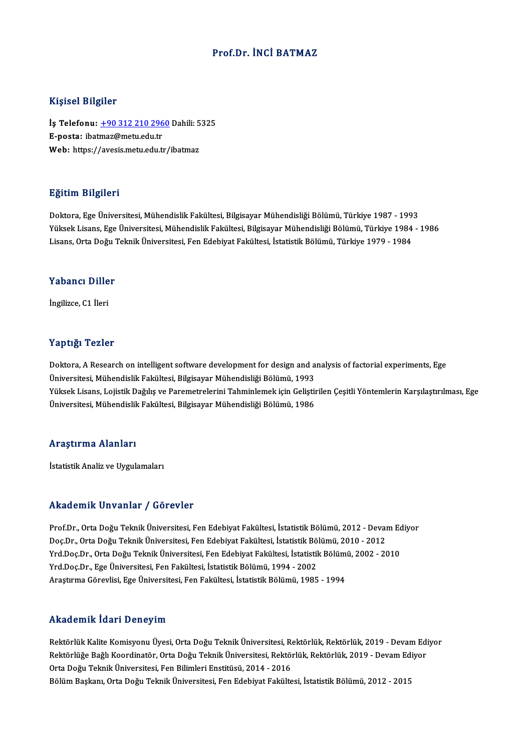## Prof.Dr. İNCİ BATMAZ

#### Kişisel Bilgiler

Kişisel Bilgiler<br>İş Telefonu: <u>+90 312 210 2960</u> Dahili: 5325<br>E nosta: ibatmaz@matu.edu.tr 11191001 Dingitor<br>İş Telefonu: <u>+90 312 210 296</u><br>E-posta: ibat[maz@metu.edu.tr](tel:+90 312 210 2960) İş Telefonu: <u>+90 312 210 2960</u> Dahili: 5<br>E-posta: ibatmaz@metu.edu.tr<br>Web: https://avesis.metu.edu.tr/ibatmaz Web: https://avesis.metu.edu.tr/ibatmaz<br>Eğitim Bilgileri

Doktora,EgeÜniversitesi,MühendislikFakültesi,BilgisayarMühendisliğiBölümü,Türkiye 1987 -1993 25.<br>1998- Doktora, Ege Üniversitesi, Mühendislik Fakültesi, Bilgisayar Mühendisliği Bölümü, Türkiye 1987 - 1993<br>Yüksek Lisans, Ege Üniversitesi, Mühendislik Fakültesi, Bilgisayar Mühendisliği Bölümü, Türkiye 1984 - 1986<br>Li Doktora, Ege Üniversitesi, Mühendislik Fakültesi, Bilgisayar Mühendisliği Bölümü, Türkiye 1987 - 199<br>Yüksek Lisans, Ege Üniversitesi, Mühendislik Fakültesi, Bilgisayar Mühendisliği Bölümü, Türkiye 1984<br>Lisans, Orta Doğu Te Lisans, Orta Doğu Teknik Üniversitesi, Fen Edebiyat Fakültesi, İstatistik Bölümü, Türkiye 1979 - 1984<br>Yabancı Diller

İngilizce,C1 İleri

#### Yaptığı Tezler

Yaptığı Tezler<br>Doktora, A Research on intelligent software development for design and analysis of factorial experiments, Ege<br>Üniversitesi Mühandislik Fakültesi, Bilgisavar Mühandisliği Bölümü, 1992 1999 - 1921<br>Doktora, A Research on intelligent software development for design and a<br>Üniversitesi, Mühendislik Fakültesi, Bilgisayar Mühendisliği Bölümü, 1993<br>Vülsek Lisans, Leijstik Dağılış ve Baremetrelerini Tahminlemek Üniversitesi, Mühendislik Fakültesi, Bilgisayar Mühendisliği Bölümü, 1993<br>Yüksek Lisans, Lojistik Dağılış ve Paremetrelerini Tahminlemek için Geliştirilen Çeşitli Yöntemlerin Karşılaştırılması, Ege Üniversitesi, Mühendislik Fakültesi, Bilgisayar Mühendisliği Bölümü, 1986

#### Araştırma Alanları

İstatistik Analiz ve Uygulamaları

#### Akademik Unvanlar / Görevler

Akademik Unvanlar / Görevler<br>Prof.Dr., Orta Doğu Teknik Üniversitesi, Fen Edebiyat Fakültesi, İstatistik Bölümü, 2012 - Devam Ediyor<br>Des Dr., Orta Doğu Teknik Üniversitesi, Fen Edebiyat Fakültesi, İstatistik Bölümü, 2010, rındu olirin "Oli vulitar" yı döz ovter<br>Prof.Dr., Orta Doğu Teknik Üniversitesi, Fen Edebiyat Fakültesi, İstatistik Bölümü, 2012 - Deval<br>Doç.Dr., Orta Doğu Teknik Üniversitesi, Fen Edebiyat Fakültesi, İstatistik Bölümü, 20 Prof.Dr., Orta Doğu Teknik Üniversitesi, Fen Edebiyat Fakültesi, İstatistik Bölümü, 2012 - Devam Ed<br>Doç.Dr., Orta Doğu Teknik Üniversitesi, Fen Edebiyat Fakültesi, İstatistik Bölümü, 2010 - 2012<br>Yrd.Doç.Dr., Orta Doğu Tekn Doç.Dr., Orta Doğu Teknik Üniversitesi, Fen Edebiyat Fakültesi, İstatistik Bölümü, 2010 - 2012<br>Yrd.Doç.Dr., Orta Doğu Teknik Üniversitesi, Fen Edebiyat Fakültesi, İstatistik Bölümü, 2002 - 2010<br>Yrd.Doç.Dr., Ege Üniversites Araştırma Görevlisi, Ege Üniversitesi, Fen Fakültesi, İstatistik Bölümü, 1985 - 1994

#### Akademik İdari Deneyim

Akademik İdari Deneyim<br>Rektörlük Kalite Komisyonu Üyesi, Orta Doğu Teknik Üniversitesi, Rektörlük, Rektörlük, 2019 - Devam Ediyor<br>Rektörlüğe Boğlı Koordinatör, Orta Doğu Telmik Üniversitesi, Rektörlük, Rektörlük, 2010, Dev rindu olirin Tuuri Bolioj'ili.<br>Rektörlük Kalite Komisyonu Üyesi, Orta Doğu Teknik Üniversitesi, Rektörlük, Rektörlük, 2019 - Devam Edi<br>Orta Doğu Telmik Üniversitesi, Esp Bilimleri Enstitüsü, 2014, ...2016 Orta Doğu Teknik Üniversitesi, Fen Bilimleri Enstitüsü, 2014 - 2016<br>Bölüm Başkanı, Orta Doğu Teknik Üniversitesi, Fen Edebiyat Fakültesi, İstatistik Bölümü, 2012 - 2015 Rektörlüğe Bağlı Koordinatör, Orta Doğu Teknik Üniversitesi, Rektörlük, Rektörlük, 2019 - Devam Ediyor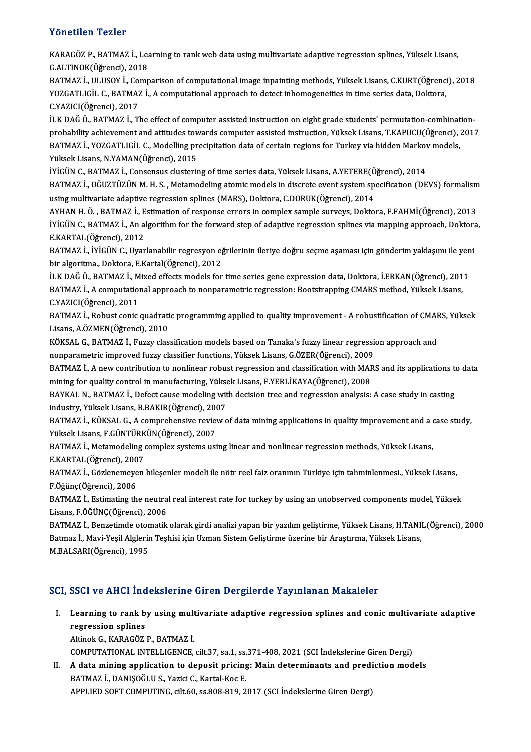## Yönetilen Tezler

Yönetilen Tezler<br>KARAGÖZ P., BATMAZ İ., Learning to rank web data using multivariate adaptive regression splines, Yüksek Lisans,<br>S.AJ.TINOK(Öğrensi), 2019 TOROMICH TORICI<br>KARAGÖZ P., BATMAZ İ., Lea<br>G.ALTINOK(Öğrenci), 2018<br>BATMAZ İ. III HSOV İ. Gemi

G.ALTINOK(Öğrenci), 2018<br>BATMAZ İ., ULUSOY İ., Comparison of computational image inpainting methods, Yüksek Lisans, C.KURT(Öğrenci), 2018 G.ALTINOK(Öğrenci), 2018<br>BATMAZ İ., ULUSOY İ., Comparison of computational image inpainting methods, Yüksek Lisans, C.KURT(Öğrenci<br>YOZGATLIGİL C., BATMAZ İ., A computational approach to detect inhomogeneities in time serie BATMAZ İ., ULUSOY İ., Co.<br>YOZGATLIGİL C., BATMAZ<br>C.YAZICI(Öğrenci), 2017<br>İLK DAČ Ö. BATMAZ İ. TI YOZGATLIGİL C., BATMAZ İ., A computational approach to detect inhomogeneities in time series data, Doktora,<br>C.YAZICI(Öğrenci), 2017<br>İLK DAĞ Ö., BATMAZ İ., The effect of computer assisted instruction on eight grade students

C.YAZICI(Öğrenci), 2017<br>İLK DAĞ Ö., BATMAZ İ., The effect of computer assisted instruction on eight grade students' permutation-combination-<br>probability achievement and attitudes towards computer assisted instruction, Yüks İLK DAĞ Ö., BATMAZ İ., The effect of computer assisted instruction on eight grade students' permutation-<br>probability achievement and attitudes towards computer assisted instruction, Yüksek Lisans, T.KAPUCU(Öğrenci), 2017<br>B probability achievement and attitudes tow<br>BATMAZ İ., YOZGATLIGİL C., Modelling pr<br>Yüksek Lisans, N.YAMAN(Öğrenci), 2015<br>İVİÇÜN C. BATMAZ İ. Consensus slusteriy BATMAZ İ., YOZGATLIGİL C., Modelling precipitation data of certain regions for Turkey via hidden Markov models,

BATMAZ İ., OĞUZTÜZÜN M. H. S. , Metamodeling atomic models in discrete event system specificatıon (DEVS) formalism<br>using multivariate adaptive regression splines (MARS), Doktora, C.DORUK(Öğrenci), 2014 İYİGÜN C., BATMAZ İ., Consensus clustering of time series data, Yüksek Lisans, A.YETERE(Öğrenci), 2014

AYHAN H. Ö., BATMAZ İ., Estimation of response errors in complex sample surveys, Doktora, F.FAHMİ(Öğrenci), 2013 using multivariate adaptive regression splines (MARS), Doktora, C.DORUK(Öğrenci), 2014<br>AYHAN H. Ö. , BATMAZ İ., Estimation of response errors in complex sample surveys, Doktora, F.FAHMİ(Öğrenci), 2013<br>İYİGÜN C., BATMAZ İ., AYHAN H. Ö. , BATMAZ İ., E<br>İYİGÜN C., BATMAZ İ., An a<br>E.KARTAL(Öğrenci), 2012<br>BATMAZ İ. İVİGÜN C. Uyan İYİGÜN C., BATMAZ İ., An algorithm for the forward step of adaptive regression splines via mapping approach, Doktora<br>E.KARTAL(Öğrenci), 2012<br>BATMAZ İ., İYİGÜN C., Uyarlanabilir regresyon eğrilerinin ileriye doğru seçme aşa

E.KARTAL(Öğrenci), 2012<br>BATMAZ İ., İYİGÜN C., Uyarlanabilir regresyon eğrilerinin ileriye doğru seçme aşaması için gönderim yaklaşımı ile yeni<br>bir algoritma., Doktora, E.Kartal(Öğrenci), 2012 BATMAZ İ., İYİGÜN C., Uyarlanabilir regresyon eğrilerinin ileriye doğru seçme aşaması için gönderim yaklaşımı ile yen<br>bir algoritma., Doktora, E.Kartal(Öğrenci), 2012<br>İLK DAĞ Ö., BATMAZ İ., Mixed effects models for time se

bir algoritma., Doktora, E.Kartal(Öğrenci), 2012<br>İLK DAĞ Ö., BATMAZ İ., Mixed effects models for time series gene expression data, Doktora, İ.ERKAN(Öğrenci), 201<br>BATMAZ İ., A computational approach to nonparametric regress İLK DAĞ Ö., BATMAZ İ., M<br>BATMAZ İ., A computatio<br>C.YAZICI(Öğrenci), 2011<br>BATMAZ İ. Bobust sonis BATMAZ İ., A computational approach to nonparametric regression: Bootstrapping CMARS method, Yüksek Lisans,<br>C.YAZICI(Öğrenci), 2011<br>BATMAZ İ., Robust conic quadratic programming applied to quality improvement - A robustifi

C.YAZICI(Öğrenci), 2011<br>BATMAZ İ., Robust conic quadrati<br>Lisans, A.ÖZMEN(Öğrenci), 2010<br>KÖKSAL G. RATMAZ İ. Fuzzy elas BATMAZ İ., Robust conic quadratic programming applied to quality improvement - A robustification of CMAF<br>Lisans, A.ÖZMEN(Öğrenci), 2010<br>KÖKSAL G., BATMAZ İ., Fuzzy classification models based on Tanaka's fuzzy linear regre Lisans, A.ÖZMEN(Öğrenci), 2010<br>KÖKSAL G., BATMAZ İ., Fuzzy classification models based on Tanaka's fuzzy linear regression approach and

nonparametric improved fuzzy classifier functions, Yüksek Lisans, G.ÖZER(Öğrenci), 2009

BATMAZ İ., A new contribution to nonlinear robust regression and classification with MARS and its applications to data<br>mining for quality control in manufacturing, Yüksek Lisans, F.YERLİKAYA(Öğrenci), 2008 BATMAZ İ., A new contribution to nonlinear robust regression and classification with MARS and its applications to<br>mining for quality control in manufacturing, Yüksek Lisans, F.YERLİKAYA(Öğrenci), 2008<br>BAYKAL N., BATMAZ İ.,

mining for quality control in manufacturing, Yükse<br>BAYKAL N., BATMAZ İ., Defect cause modeling wit<br>industry, Yüksek Lisans, B.BAKIR(Öğrenci), 2007<br>BATMAZ İ. KÖKSAL C. A comprehencive review c BAYKAL N., BATMAZ İ., Defect cause modeling with decision tree and regression analysis: A case study in casting<br>industry, Yüksek Lisans, B.BAKIR(Öğrenci), 2007<br>BATMAZ İ., KÖKSAL G., A comprehensive review of data mining ap

industry, Yüksek Lisans, B.BAKIR(Öğrenci), 200<br>BATMAZ İ., KÖKSAL G., A comprehensive revie<br>Yüksek Lisans, F.GÜNTÜRKÜN(Öğrenci), 2007<br>BATMAZ İ. Matamadaling samplay systems usi BATMAZ İ., KÖKSAL G., A comprehensive review of data mining applications in quality improvement and a case study,<br>Yüksek Lisans, F.GÜNTÜRKÜN(Öğrenci), 2007<br>BATMAZ İ., Metamodeling complex systems using linear and nonlinear

Yüksek Lisans, F.GÜNTÜRK<br>BATMAZ İ., Metamodeling<br>E.KARTAL(Öğrenci), 2007<br>BATMAZ İ. Görlenemeyen BATMAZ İ., Metamodeling complex systems using linear and nonlinear regression methods, Yüksek Lisans,<br>E.KARTAL(Öğrenci), 2007<br>BATMAZ İ., Gözlenemeyen bileşenler modeli ile nötr reel faiz oranının Türkiye için tahminlenmesi

E.KARTAL (Öğrenci), 200<br>BATMAZ İ., Gözlenemeye<br>F.Öğünç (Öğrenci), 2006<br>BATMAZ İ. Estimating th BATMAZ İ., Gözlenemeyen bileşenler modeli ile nötr reel faiz oranının Türkiye için tahminlenmesi., Yüksek Lisans,<br>F.Öğünç(Öğrenci), 2006<br>BATMAZ İ., Estimating the neutral real interest rate for turkey by using an unobserve

F.Öğünç(Öğrenci), 2006<br>BATMAZ İ., Estimating the neutral real interest rate for turkey by using an unobserved components model, Yüksek<br>Lisans, F.ÖĞÜNÇ(Öğrenci), 2006 BATMAZ İ., Estimating the neutral real interest rate for turkey by using an unobserved components model, Yüksek<br>Lisans, F.ÖĞÜNÇ(Öğrenci), 2006<br>BATMAZ İ., Benzetimde otomatik olarak girdi analizi yapan bir yazılım geliştirm

Lisans, F.ÖĞÜNÇ(Öğrenci), 2006<br>BATMAZ İ., Benzetimde otomatik olarak girdi analizi yapan bir yazılım geliştirme, Yüksek Lisans, H.TANI!<br>Batmaz İ., Mavi-Yeşil Alglerin Teşhisi için Uzman Sistem Geliştirme üzerine bir Araştı Batmaz İ., Mavi-Yeşil Alglerin Teşhisi için Uzman Sistem Geliştirme üzerine bir Araştırma, Yüksek Lisans,<br>M.BALSARI(Öğrenci), 1995

## SCI, SSCI ve AHCI İndekslerine Giren Dergilerde Yayınlanan Makaleler

I. Learning to rank by usingmultivariate adaptive regression splines and conicmultivariate adaptive **Example 2008**<br>**Learning to rank b<br>Altinek G KARAGÖZ** regression splines<br>Altinok G., KARAGÖZ P., BATMAZ İ.

COMPUTATIONAL INTELLIGENCE, cilt.37, sa.1, ss.371-408,2021 (SCI İndekslerineGirenDergi)

II. A data mining application to deposit pricing: Main determinants and prediction models BATMAZ İ., DANIŞOĞLU S., Yazici C., Kartal-Koc E. APPLIED SOFT COMPUTING, cilt.60, ss.808-819, 2017 (SCI İndekslerine Giren Dergi)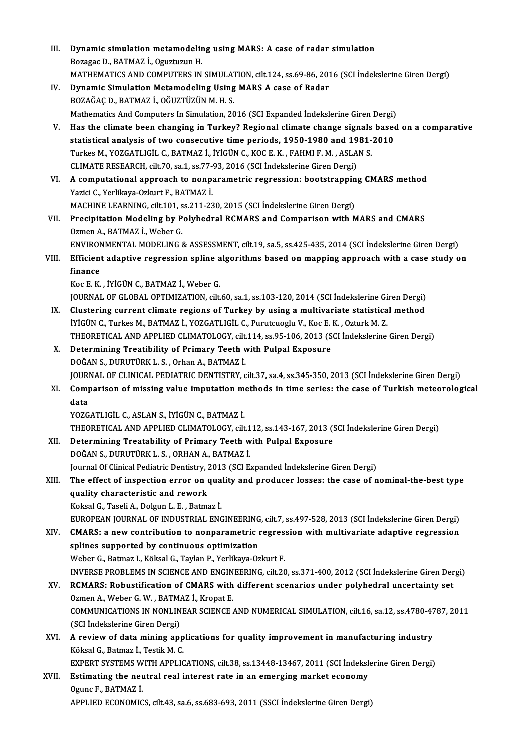| Ш.    | Dynamic simulation metamodeling using MARS: A case of radar simulation                                                                                                                    |
|-------|-------------------------------------------------------------------------------------------------------------------------------------------------------------------------------------------|
|       | Bozagac D., BATMAZ İ., Oguztuzun H.                                                                                                                                                       |
|       | MATHEMATICS AND COMPUTERS IN SIMULATION, cilt.124, ss.69-86, 2016 (SCI Indekslerine Giren Dergi)                                                                                          |
| IV.   | Dynamic Simulation Metamodeling Using MARS A case of Radar                                                                                                                                |
|       | BOZAĞAÇ D., BATMAZ İ., OĞUZTÜZÜN M. H. S.                                                                                                                                                 |
|       | Mathematics And Computers In Simulation, 2016 (SCI Expanded Indekslerine Giren Dergi)                                                                                                     |
| V.    | Has the climate been changing in Turkey? Regional climate change signals based on a comparative                                                                                           |
|       | statistical analysis of two consecutive time periods, 1950-1980 and 1981-2010                                                                                                             |
|       | Turkes M., YOZGATLIGİL C., BATMAZ İ., İYİGÜN C., KOC E. K., FAHMI F. M., ASLAN S.                                                                                                         |
|       | CLIMATE RESEARCH, cilt 70, sa 1, ss 77-93, 2016 (SCI Indekslerine Giren Dergi)                                                                                                            |
| VI.   | A computational approach to nonparametric regression: bootstrapping CMARS method                                                                                                          |
|       | Yazici C., Yerlikaya-Ozkurt F., BATMAZ İ.                                                                                                                                                 |
|       | MACHINE LEARNING, cilt.101, ss.211-230, 2015 (SCI İndekslerine Giren Dergi)                                                                                                               |
| VII.  | Precipitation Modeling by Polyhedral RCMARS and Comparison with MARS and CMARS                                                                                                            |
|       | Ozmen A, BATMAZ İ, Weber G.                                                                                                                                                               |
|       | ENVIRONMENTAL MODELING & ASSESSMENT, cilt.19, sa.5, ss.425-435, 2014 (SCI İndekslerine Giren Dergi)                                                                                       |
| VIII. | Efficient adaptive regression spline algorithms based on mapping approach with a case study on                                                                                            |
|       | finance                                                                                                                                                                                   |
|       | Koc E. K., İYİGÜN C., BATMAZ İ., Weber G.                                                                                                                                                 |
|       | JOURNAL OF GLOBAL OPTIMIZATION, cilt.60, sa.1, ss.103-120, 2014 (SCI İndekslerine Giren Dergi)                                                                                            |
| IX.   | Clustering current climate regions of Turkey by using a multivariate statistical method                                                                                                   |
|       | İYİGÜN C., Turkes M., BATMAZ İ., YOZGATLIGİL C., Purutcuoglu V., Koc E. K., Ozturk M. Z.<br>THEORETICAL AND APPLIED CLIMATOLOGY, cilt.114, ss.95-106, 2013 (SCI İndekslerine Giren Dergi) |
| X.    | Determining Treatibility of Primary Teeth with Pulpal Exposure                                                                                                                            |
|       | DOĞAN S., DURUTÜRK L. S., Orhan A., BATMAZ İ.                                                                                                                                             |
|       | JOURNAL OF CLINICAL PEDIATRIC DENTISTRY, cilt.37, sa.4, ss.345-350, 2013 (SCI İndekslerine Giren Dergi)                                                                                   |
| XI.   | Comparison of missing value imputation methods in time series: the case of Turkish meteorological                                                                                         |
|       | data                                                                                                                                                                                      |
|       | YOZGATLIGİL C., ASLAN S., İYİGÜN C., BATMAZ İ.                                                                                                                                            |
|       | THEORETICAL AND APPLIED CLIMATOLOGY, cilt.112, ss.143-167, 2013 (SCI İndekslerine Giren Dergi)                                                                                            |
| XII.  | Determining Treatability of Primary Teeth with Pulpal Exposure                                                                                                                            |
|       | DOĞAN S., DURUTÜRK L. S., ORHAN A., BATMAZ İ.                                                                                                                                             |
|       | Journal Of Clinical Pediatric Dentistry, 2013 (SCI Expanded İndekslerine Giren Dergi)                                                                                                     |
| XIII. | The effect of inspection error on quality and producer losses: the case of nominal-the-best type                                                                                          |
|       | quality characteristic and rework                                                                                                                                                         |
|       | Koksal G., Taseli A., Dolgun L. E., Batmaz İ.                                                                                                                                             |
|       | EUROPEAN JOURNAL OF INDUSTRIAL ENGINEERING, cilt.7, ss.497-528, 2013 (SCI Indekslerine Giren Dergi)                                                                                       |
| XIV.  | CMARS: a new contribution to nonparametric regression with multivariate adaptive regression                                                                                               |
|       | splines supported by continuous optimization                                                                                                                                              |
|       | Weber G., Batmaz I., Köksal G., Taylan P., Yerlikaya-Ozkurt F.                                                                                                                            |
|       | INVERSE PROBLEMS IN SCIENCE AND ENGINEERING, cilt.20, ss.371-400, 2012 (SCI İndekslerine Giren Dergi)                                                                                     |
| XV.   | RCMARS: Robustification of CMARS with different scenarios under polyhedral uncertainty set                                                                                                |
|       | Ozmen A., Weber G. W., BATMAZ İ., Kropat E.                                                                                                                                               |
|       | COMMUNICATIONS IN NONLINEAR SCIENCE AND NUMERICAL SIMULATION, cilt.16, sa.12, ss.4780-4787, 2011                                                                                          |
|       | (SCI İndekslerine Giren Dergi)                                                                                                                                                            |
| XVI.  | A review of data mining applications for quality improvement in manufacturing industry                                                                                                    |
|       | Köksal G., Batmaz İ., Testik M. C.                                                                                                                                                        |
|       | EXPERT SYSTEMS WITH APPLICATIONS, cilt.38, ss.13448-13467, 2011 (SCI Indekslerine Giren Dergi)                                                                                            |
| XVII. | Estimating the neutral real interest rate in an emerging market economy                                                                                                                   |
|       | Ogunc F, BATMAZ İ<br>APPLIED ECONOMICS, cilt.43, sa.6, ss.683-693, 2011 (SSCI İndekslerine Giren Dergi)                                                                                   |
|       |                                                                                                                                                                                           |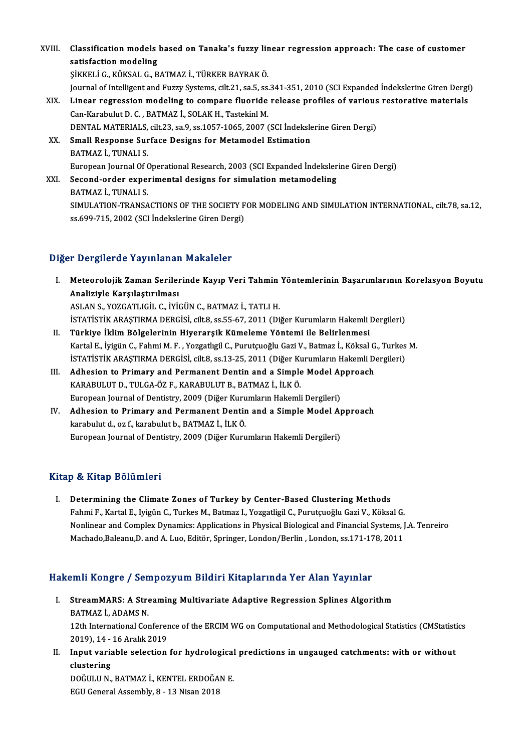XVIII. Classification models based on Tanaka's fuzzy linear regression approach: The case of customer<br>catisfaction modeling **Classification models<br>satisfaction modeling<br>sizveri C RÖVSALG P** satisfaction modeling<br>SİKKELİ G., KÖKSAL G., BATMAZ İ., TÜRKER BAYRAK Ö. satisfaction modeling<br>ŞİKKELİ G., KÖKSAL G., BATMAZ İ., TÜRKER BAYRAK Ö.<br>Journal of Intelligent and Fuzzy Systems, cilt.21, sa.5, ss.341-351, 2010 (SCI Expanded İndekslerine Giren Dergi)<br>Linear negreesian modeling te semne SİKKELİ G., KÖKSAL G., BATMAZ İ., TÜRKER BAYRAK Ö.<br>Journal of Intelligent and Fuzzy Systems, cilt.21, sa.5, ss.341-351, 2010 (SCI Expanded Indekslerine Giren Dergi<br>XIX. Linear regression modeling to compare fluoride re Journal of Intelligent and Fuzzy Systems, cilt.21, sa.5, ss.<br>Linear regression modeling to compare fluoride<br>Can-Karabulut D. C. , BATMAZ İ., SOLAK H., Tastekinl M.<br>DENTAL MATERIALS silt 22, sa.9, ss.1057, 1065, 2007 ( Linear regression modeling to compare fluoride release profiles of various<br>Can-Karabulut D. C. , BATMAZ İ., SOLAK H., Tastekinl M.<br>DENTAL MATERIALS, cilt.23, sa.9, ss.1057-1065, 2007 (SCI İndekslerine Giren Dergi)<br>Small Be Can-Karabulut D. C. , BATMAZ İ., SOLAK H., Tastekinl M.<br>DENTAL MATERIALS, cilt.23, sa.9, ss.1057-1065, 2007 (SCI İndeksle<br>XX. Small Response Surface Designs for Metamodel Estimation<br>PATMAZ İ. TUNALLS DENTAL MATERIALS,<br>Small Response Sur<br>BATMAZ İ., TUNALI S.<br>European Journal Of G Small Response Surface Designs for Metamodel Estimation<br>BATMAZ İ., TUNALI S.<br>European Journal Of Operational Research, 2003 (SCI Expanded İndekslerine Giren Dergi)<br>Sesend ender evnerimental desisns for simulation metamodel BATMAZ İ., TUNALI S.<br>European Journal Of Operational Research, 2003 (SCI Expanded İndeksler<br>XXI. Second-order experimental designs for simulation metamodeling European Journal Of (<br>Second-order exper<br>BATMAZ İ., TUNALI S.<br>SIMIJI ATION TRANSA Second-order experimental designs for simulation metamodeling<br>BATMAZ İ., TUNALI S.<br>SIMULATION-TRANSACTIONS OF THE SOCIETY FOR MODELING AND SIMULATION INTERNATIONAL, cilt.78, sa.12, ss.699-715, 2002 (SCI İndekslerine Giren Dergi)

## Diğer Dergilerde Yayınlanan Makaleler

- iğer Dergilerde Yayınlanan Makaleler<br>I. Meteorolojik Zaman Serilerinde Kayıp Veri Tahmin Yöntemlerinin Başarımlarının Korelasyon Boyutu<br>Analiziyle Karallatınılması Analiziyle Karşılaştırılması<br>Analiziyle Karşılaştırılması<br>ASLAN S. XOZCATUCU C. İVİ Analiziyle Karşılaştırılması<br>ASLAN S., YOZGATLIGİL C., İYİGÜN C., BATMAZ İ., TATLI H. Analiziyle Karşılaştırılması<br>ASLAN S., YOZGATLIGİL C., İYİGÜN C., BATMAZ İ., TATLI H.<br>İSTATİSTİK ARAŞTIRMA DERGİSİ, cilt.8, ss.55-67, 2011 (Diğer Kurumların Hakemli Dergileri)<br>Türkiye İklim Bölgelerinin Hiyerarsik Kümeleme ASLAN S., YOZGATLIGİL C., İYİGÜN C., BATMAZ İ., TATLI H.<br>ISTATİSTİK ARAŞTIRMA DERGİSİ, cilt8, ss.55-67, 2011 (Diğer Kurumların Hakemli il<br>II. Türkiye İklim Bölgelerinin Hiyerarşik Kümeleme Yöntemi ile Belirlenmesi<br>Kartal E
- İSTATİSTİK ARAŞTIRMA DERGİSİ, cilt.8, ss.55-67, 2011 (Diğer Kurumların Hakemli Dergileri)<br><mark>Türkiye İklim Bölgelerinin Hiyerarşik Kümeleme Yöntemi ile Belirlenmesi</mark><br>Kartal E., İyigün C., Fahmi M. F. , Yozgatlıgil C., Purutç II. Türkiye İklim Bölgelerinin Hiyerarşik Kümeleme Yöntemi ile Belirlenmesi<br>Kartal E., İyigün C., Fahmi M. F. , Yozgatlıgil C., Purutçuoğlu Gazi V., Batmaz İ., Köksal G., Turkes M.<br>İSTATİSTİK ARAŞTIRMA DERGİSİ, cilt.8, ss. Kartal E., İyigün C., Fahmi M. F. , Yozgatlıgil C., Purutçuoğlu Gazi V., Batmaz İ., Köksal G<br>İSTATİSTİK ARAŞTIRMA DERGİSİ, cilt.8, ss.13-25, 2011 (Diğer Kurumların Hakemli D<br>III. Adhesion to Primary and Permanent Dentin an
- İSTATİSTİK ARAŞTIRMA DERGİSİ, cilt.8, ss.13-25, 2011 (Diğer Ku<br>Adhesion to Primary and Permanent Dentin and a Simple<br>KARABULUT D., TULGA-ÖZ F., KARABULUT B., BATMAZ İ., İLK Ö.<br>European Journal of Dentistru 2000 (Diğer Kuru Adhesion to Primary and Permanent Dentin and a Simple Model A<sub>I</sub><br>KARABULUT D., TULGA-ÖZ F., KARABULUT B., BATMAZ İ., İLK Ö.<br>European Journal of Dentistry, 2009 (Diğer Kurumların Hakemli Dergileri)<br>Adhesian ta Primary and B KARABULUT D., TULGA-ÖZ F., KARABULUT B., BATMAZ İ., İLK Ö.<br>European Journal of Dentistry, 2009 (Diğer Kurumların Hakemli Dergileri)<br>IV. Adhesion to Primary and Permanent Dentin and a Simple Model Approach<br>Isashulut d. or f
- European Journal of Dentistry, 2009 (Diğer Kuru<br>Adhesion to Primary and Permanent Dentir<br>karabulut d., oz f., karabulut b., BATMAZ İ., İLKÖ.<br>European Journal of Dentistry, 2009 (Dižer Kuru Adhesion to Primary and Permanent Dentin and a Simple Model A<sub>l</sub><br>karabulut d., oz f., karabulut b., BATMAZ İ., İLK Ö.<br>European Journal of Dentistry, 2009 (Diğer Kurumların Hakemli Dergileri) European Journal of Dentistry, 2009 (Diğer Kurumların Hakemli Dergileri)<br>Kitap & Kitap Bölümleri

I. Determining the Climate Zones of Turkey by Center-Based Clustering Methods Fahmi Fahrup Dorannor<br>Determining the Climate Zones of Turkey by Center-Based Clustering Methods<br>Fahmi F., Kartal E., Iyigün C., Turkes M., Batmaz I., Yozgatligil C., Purutçuoğlu Gazi V., Köksal G.<br>Nonlinear and Complex Dy Determining the Climate Zones of Turkey by Center-Based Clustering Methods<br>Fahmi F., Kartal E., Iyigün C., Turkes M., Batmaz I., Yozgatligil C., Purutçuoğlu Gazi V., Köksal G.<br>Nonlinear and Complex Dynamics: Applications i Fahmi F., Kartal E., Iyigün C., Turkes M., Batmaz I., Yozgatligil C., Purutçuoğlu Gazi V., Köksal G.<br>Nonlinear and Complex Dynamics: Applications in Physical Biological and Financial Systems, J<br>Machado,Baleanu,D. and A. Lu

# Machado,Baleanu,D. and A. Luo, Editör, Springer, London/Berlin , London, ss.171-178, 2011<br>Hakemli Kongre / Sempozyum Bildiri Kitaplarında Yer Alan Yayınlar

- akemli Kongre / Sempozyum Bildiri Kitaplarında Yer Alan Yayınlar<br>I. StreamMARS: A Streaming Multivariate Adaptive Regression Splines Algorithm<br>RATMAZİ ADAMS N SHIH KOH<sub>BI</sub> C / SON<br>StreamMARS: A Stre<br>BATMAZ İ., ADAMS N. StreamMARS: A Streaming Multivariate Adaptive Regression Splines Algorithm<br>BATMAZ İ., ADAMS N.<br>12th International Conference of the ERCIM WG on Computational and Methodological Statistics (CMStatistics 5)<br>2010), 14, 16 Ara BATMAZ İ., ADAMS N.<br>12th International Conference of the ERCIM WG on Computational and Methodological Statistics (CMStatistics<br>2019), 14 - 16 Aralık 2019 12th International Conference of the ERCIM WG on Computational and Methodological Statistics (CMStatistical 2019), 14 - 16 Aralık 2019<br>II. Input variable selection for hydrological predictions in ungauged catchments: with
- 2019), 14 -<br>Input varia<br>clustering<br>DOČULU N Input variable selection for hydrological<br>clustering<br>DOĞULU N., BATMAZ İ., KENTEL ERDOĞAN E.<br>ECU Ceneral Assembly, 9, 13 Nisan 2019

clustering<br>DOĞULU N., BATMAZ İ., KENTEL ERDOĞAN E.<br>EGU General Assembly, 8 - 13 Nisan 2018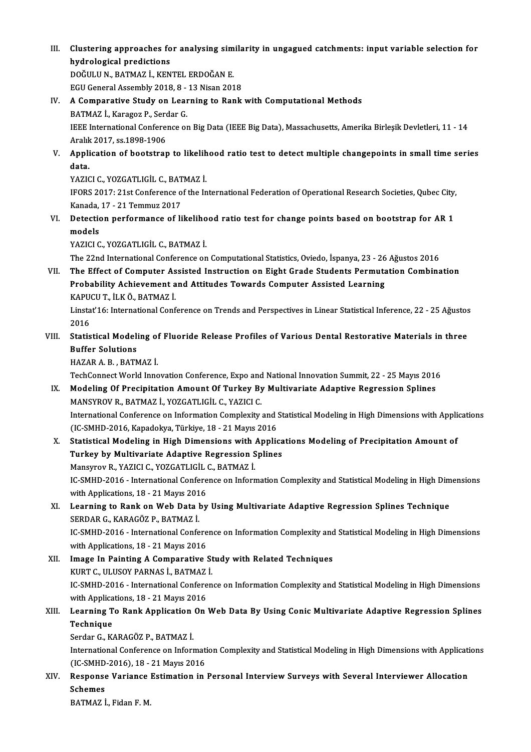III. Clustering approaches for analysing similarity in ungagued catchments: input variable selection for<br>hydrological predictions Clustering approaches fo<br>hydrological predictions<br>DOČIJUN PATMAZI *V*EN Clustering approaches for analysing sim<br>hydrological predictions<br>DOĞULU N., BATMAZ İ., KENTEL ERDOĞAN E.<br>ECU Canaral Assembly 2018-8-12 Nisan 201

hydrological predictions<br>DOĞULU N., BATMAZ İ., KENTEL ERDOĞAN E.<br>EGU General Assembly 2018, 8 - 13 Nisan 2018<br>A Componative Study on Leonning to Bonk.

- DOĞULU N., BATMAZ İ., KENTEL ERDOĞAN E.<br>EGU General Assembly 2018, 8 13 Nisan 2018<br>IV. A Comparative Study on Learning to Rank with Computational Methods<br>PATMAZ İ. Karagaz B. Sardar G. EGU General Assembly 2018, 8 -<br>A Comparative Study on Lear<br>BATMAZ İ., Karagoz P., Serdar G.<br><sup>IEEE</sup> International Conference et A Comparative Study on Learning to Rank with Computational Methods<br>BATMAZ İ., Karagoz P., Serdar G.<br>IEEE International Conference on Big Data (IEEE Big Data), Massachusetts, Amerika Birleşik Devletleri, 11 - 14<br>Aralık 2017 BATMAZ İ., Karagoz P., Serc<br>IEEE International Confere<br>Aralık 2017, ss.1898-1906<br>Annlisation of bootstran IEEE International Conference on Big Data (IEEE Big Data), Massachusetts, Amerika Birleşik Devletleri, 11 - 14<br>Aralık 2017, ss.1898-1906<br>V. Application of bootstrap to likelihood ratio test to detect multiple changepoints
- Aralık<br><mark>Appli</mark><br>data.<br>v^zıc Application of bootstrap to likelih<br>data.<br>YAZICI C., YOZGATLIGİL C., BATMAZ İ.<br>IEOPS 2017: 21st Conference of the In

YAZICI C., YOZGATLIGİL C., BATMAZ İ

data.<br>IFORS 2017: 21st Conference of the International Federation of Operational Research Societies, Qubec City,<br>Kanada, 17 - 21 Temmuz 2017 IFORS 2017: 21st Conference of the International Federation of Operational Research Societies, Qubec City,<br>Kanada, 17 - 21 Temmuz 2017<br>VI. Detection performance of likelihood ratio test for change points based on bootstrap

Kanada,<br>Detectio<br>models<br><sup>VA7ICL</sup>C Detection performance of likeliho<br>models<br>YAZICI C., YOZGATLIGİL C., BATMAZ İ.<br>The <sup>22</sup>21d International Conference en models<br>YAZICI C., YOZGATLIGİL C., BATMAZ İ.<br>The 22nd International Conference on Computational Statistics, Oviedo, İspanya, 23 - 26 Ağustos 2016

VII. The Effect of Computer Assisted Instruction on Eight Grade Students Permutation Combination The 22nd International Conference on Computational Statistics, Oviedo, İspanya, 23 - 26<br>The Effect of Computer Assisted Instruction on Eight Grade Students Permuta<br>Probability Achievement and Attitudes Towards Computer Ass The Effect of Computer As<br>Probability Achievement a<br>KAPUCU T., İLK Ö., BATMAZ İ.<br>Linsta<sup>y</sup>16. International Conf KAPUCU T. İLK Ö. BATMAZ İ.

Linstat'16: International Conference on Trends and Perspectives in Linear Statistical Inference, 22 - 25 Ağustos<br>2016 Linstat'16: International Conference on Trends and Perspectives in Linear Statistical Inference, 22 - 25 Ağustos<br>2016<br>VIII. Statistical Modeling of Fluoride Release Profiles of Various Dental Restorative Materials in three

# 2016<br>Statistical Modeli<br>Buffer Solutions<br>HAZAR A B. BATN Statistical Modeling of<br>Buffer Solutions<br>HAZAR A. B. , BATMAZ İ.<br>TechConnect World Inne Buffer Solutions<br>HAZAR A. B. , BATMAZ İ.<br>TechConnect World Innovation Conference, Expo and National Innovation Summit, 22 - 25 Mayıs 2016<br>Modeling Of Precipitation Amount Of Turkey By Multivarista Adaptive Begressian Splin

- HAZAR A. B., BATMAZ İ.<br>TechConnect World Innovation Conference, Expo and National Innovation Summit, 22 25 Mayıs 2016<br>IX. Modeling Of Precipitation Amount Of Turkey By Multivariate Adaptive Regression Splines<br>MANSYROV R. TechConnect World Innovation Conference, Expo and<br>Modeling Of Precipitation Amount Of Turkey By<br>MANSYROV R., BATMAZ İ., YOZGATLIGİL C., YAZICI C.<br>International Conference en Information Complexity. Modeling Of Precipitation Amount Of Turkey By Multivariate Adaptive Regression Splines<br>MANSYROV R., BATMAZ İ., YOZGATLIGİL C., YAZICI C.<br>International Conference on Information Complexity and Statistical Modeling in High D MANSYROV R., BATMAZ İ., YOZGATLIGİL C., YAZICI C.<br>International Conference on Information Complexity and !<br>(IC-SMHD-2016, Kapadokya, Türkiye, 18 - 21 Mayıs 2016<br>Statistisel Modeling in Hich Dimensione with Annlis International Conference on Information Complexity and Statistical Modeling in High Dimensions with Application<br>(IC-SMHD-2016, Kapadokya, Türkiye, 18 - 21 Mayıs 2016)<br>X. Statistical Modeling in High Dimensions with Applica
- (IC-SMHD-2016, Kapadokya, Türkiye, 18 21 Mayıs 2016)<br>X. Statistical Modeling in High Dimensions with Applications Modeling of Precipitation Amount of<br>Turkey by Multivariate Adaptive Regression Splines Statistical Modeling in High Dimensions with .<br>Turkey by Multivariate Adaptive Regression S<br>Mansyrov R., YAZICI C., YOZGATLIGİL C., BATMAZ İ.<br>IC SMUD 2016 - International Conference en Inform IC-SMHD-2016 - International Conference on Information Complexity and Statistical Modeling in High Dimensions Mansyrov R., YAZICI C., YOZGATLIGİL<br>IC-SMHD-2016 - International Confere<br>with Applications, 18 - 21 Mayıs 2016<br>Learning to Bank an Wab Data bu with Applications, 18 - 21 Mayıs 2016
- XI. Learning to Rank on Web Data by Using Multivariate Adaptive Regression Splines Technique SERDAR G., KARAGÖZ P., BATMAZ İ. Learning to Rank on Web Data by Using Multivariate Adaptive Regression Splines Technique<br>SERDAR G., KARAGÖZ P., BATMAZ İ.<br>IC-SMHD-2016 - International Conference on Information Complexity and Statistical Modeling in High D SERDAR G., KARAGÖZ P., BATMAZ İ.<br>IC-SMHD-2016 - International Confere<br>with Applications, 18 - 21 Mayıs 2016<br>Imago In Bainting A Comparative i
- IC-SMHD-2016 International Conference on Information Complexity and<br>with Applications, 18 21 Mayıs 2016<br>XII. Image In Painting A Comparative Study with Related Techniques<br>EURT C. III USOV BARNAS İ. PATMAZ İ. with Applications, 18 - 21 Mayıs 2016<br>Image In Painting A Comparative St<br>KURT C., ULUSOY PARNAS İ., BATMAZ İ. Image In Painting A Comparative Study with Related Techniques<br>KURT C., ULUSOY PARNAS İ., BATMAZ İ.<br>IC-SMHD-2016 - International Conference on Information Complexity and Statistical Modeling in High Dimensions<br>vith Annligat KURT C., ULUSOY PARNAS İ., BATMAZ<br>IC-SMHD-2016 - International Confere<br>with Applications, 18 - 21 Mayıs 2016<br>Learning Te Bank Application On IC-SMHD-2016 - International Conference on Information Complexity and Statistical Modeling in High Dimensions<br>with Applications, 18 - 21 Mayıs 2016<br>XIII. Learning To Rank Application On Web Data By Using Conic Multivariate
- with Applica<br>Learning T<br>Technique<br>Sorder C. K. Learning To Rank Application<br>Technique<br>Serdar G., KARAGÖZ P., BATMAZ İ.<br>International Cenference en Inform

Technique<br>Serdar G., KARAGÖZ P., BATMAZ İ.<br>International Conference on Information Complexity and Statistical Modeling in High Dimensions with Applications<br>(IC SMUD 2016), 18, 21 Mevre 2016 Serdar G., KARAGÖZ P., BATMAZ İ.<br>International Conference on Informati<br>(IC-SMHD-2016), 18 - 21 Mayıs 2016<br>Respectes Varianee Estimation in International Conference on Information Complexity and Statistical Modeling in High Dimensions with Application<br>(IC-SMHD-2016), 18 - 21 Mayıs 2016<br>XIV. Response Variance Estimation in Personal Interview Surveys with Severa

(IC-SMHD-2016), 18 - 21 Mayıs 2016<br>Response Variance Estimation in<br>Schemes<br>BATMAZ İ. Fidan F. M. Response Variance Estimation in Personal Interview Surveys with Several Interviewer Allocation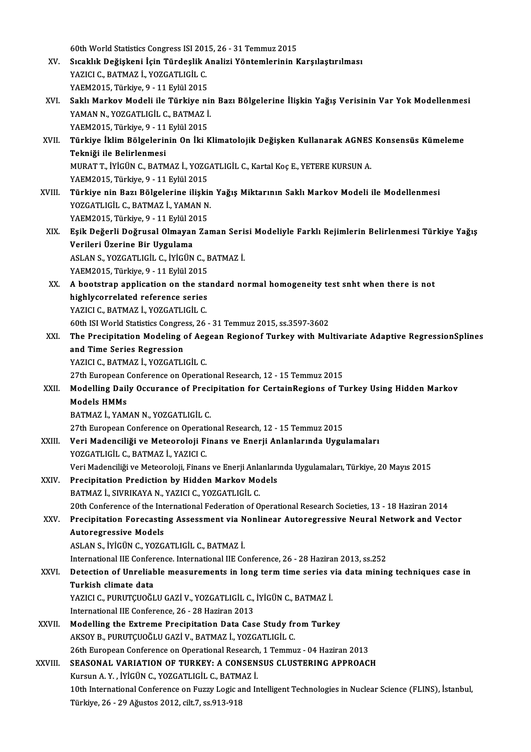60th World Statistics Congress ISI 2015, 26 - 31 Temmuz 2015

- 60th World Statistics Congress ISI 2015, 26 31 Temmuz 2015<br>XV. Sıcaklık Değişkeni İçin Türdeşlik Analizi Yöntemlerinin Karşılaştırılması<br>XAZICLG BATMAZ İ. YOZCATLICİLG 60th World Statistics Congress ISI 201<br>Sıcaklık Değişkeni İçin Türdeşlik *İ*<br>YAZICI C., BATMAZ İ., YOZGATLIGİL C.<br>YAEM2015, Türkiye 0, 11 Erlül 2015 Sıcaklık Değişkeni İçin Türdeşlik A<br>YAZICI C., BATMAZ İ., YOZGATLIGİL C.<br>YAEM2015, Türkiye, 9 - 11 Eylül 2015<br>Saklı Markay Madali ile Türkiye ni YAZICI C., BATMAZ İ., YOZGATLIGİL C.<br>YAEM2015, Türkiye, 9 - 11 Eylül 2015<br>XVI. Saklı Markov Modeli ile Türkiye nin Bazı Bölgelerine İlişkin Yağış Verisinin Var Yok Modellenmesi<br>XAMAN N. YOZGATLICİL G. BATMAZ İ
- YAEM2015, Türkiye, 9 11 Eylül 2015<br>Saklı Markov Modeli ile Türkiye niı<br>YAMAN N., YOZGATLIGİL C., BATMAZ İ.<br>YAEM2015, Türkiye 9 11 Eylül 2015 Saklı Markov Modeli ile Türkiye ni<br>YAMAN N., YOZGATLIGİL C., BATMAZ İ.<br>YAEM2015, Türkiye, 9 - 11 Eylül 2015<br>Türkiye İklim Bölgelerinin On İki K YAMAN N., YOZGATLIGİL C., BATMAZ İ.<br>YAEM2015, Türkiye, 9 - 11 Eylül 2015<br>XVII. Türkiye İklim Bölgelerinin On İki Klimatolojik Değişken Kullanarak AGNES Konsensüs Kümeleme<br>Tekniği ile Belirlenmesi
- YAEM2015, Türkiye, 9 11<br><mark>Türkiye İklim Bölgelerin</mark><br>Tekniği ile Belirlenmesi<br>MUBAT T. İVİCÜN G. BATM Türkiye İklim Bölgelerinin On İki Klimatolojik Değişken Kullanarak AGNES<br>Tekniği ile Belirlenmesi<br>MURAT T., İYİGÜN C., BATMAZ İ., YOZGATLIGİL C., Kartal Koç E., YETERE KURSUN A.<br>YAEM2015, Türkiye 0, 11 Erlül 2015 Tekniği ile Belirlenmesi<br>MURAT T., İYİGÜN C., BATMAZ İ., YOZG.<br>YAEM2015, Türkiye, 9 - 11 Eylül 2015<br>Türkiye nin Bazı Bölgelerine ilişki: MURAT T., İYİGÜN C., BATMAZ İ., YOZGATLIGİL C., Kartal Koç E., YETERE KURSUN A.<br>YAEM2015, Türkiye, 9 - 11 Eylül 2015<br>XVIII. Türkiye nin Bazı Bölgelerine ilişkin Yağış Miktarının Saklı Markov Modeli ile Modellenmesi<br>XOZ
- YAEM2015, Türkiye, 9 11 Eylül 2015<br>**Türkiye nin Bazı Bölgelerine ilişkin**<br>YOZGATLIGİL C., BATMAZ İ., YAMAN N.<br>YAEM2015, Türkiye Q., 11 Eylül 2015 Türkiye nin Bazı Bölgelerine ilişki<br>YOZGATLIGİL C., BATMAZ İ., YAMAN N.<br>YAEM2015, Türkiye, 9 - 11 Eylül 2015<br>Fsik Değerli Değrusel Olmayan Za YOZGATLIGİL C., BATMAZ İ., YAMAN N.<br>YAEM2015, Türkiye, 9 - 11 Eylül 2015<br>XIX. Eşik Değerli Doğrusal Olmayan Zaman Serisi Modeliyle Farklı Rejimlerin Belirlenmesi Türkiye Yağış<br>Verileri Üzerine Bir Hygulama
- YAEM2015, Türkiye, 9 11 Eylül 20<br>Eşik Değerli Doğrusal Olmayan<br>Verileri Üzerine Bir Uygulama<br>ASLANS, YOZCATUCİL C. İVİCÜN Eşik Değerli Doğrusal Olmayan Zaman Seri:<br>Verileri Üzerine Bir Uygulama<br>ASLAN S., YOZGATLIGİL C., İYİGÜN C., BATMAZ İ.<br>VAEM2015, Türkiye 0, 11 Erlül 2015 Verileri Üzerine Bir Uygulama<br>ASLAN S., YOZGATLIGİL C., İYİGÜN C., BATMAZ İ.<br>YAEM2015, Türkiye, 9 - 11 Eylül 2015 ASLAN S., YOZGATLIGIL C., IYIGÜN C., BATMAZ I.<br>YAEM2015, Türkiye, 9 - 11 Eylül 2015<br>XX. A bootstrap application on the standard normal homogeneity test snht when there is not<br>highlyserrelated reference series.
- YAEM2015, Türkiye, 9 11 Eylül 2015<br>A bootstrap application on the sta<br>highlycorrelated reference series<br>YAZICLG PATMAZ İ YOZCATUCLG A bootstrap application on the sta<br>highlycorrelated reference series<br>YAZICI C., BATMAZ İ., YOZGATLIGİL C.<br>60th ISLWorld Statistics Congress, 26 highlycorrelated reference series<br>Tazici C., BATMAZ İ., YOZGATLIGİL C.<br>60th ISI World Statistics Congress, 26 - 31 Temmuz 2015, ss.3597-3602 YAZICI C., BATMAZ İ., YOZGATLIGİL C.<br>60th ISI World Statistics Congress, 26 - 31 Temmuz 2015, ss.3597-3602<br>XXI. The Precipitation Modeling of Aegean Regionof Turkey with Multivariate Adaptive RegressionSplines<br>2nd Time
- and Time Series Regression<br>YAZICI C., BATMAZ İ., YOZGATLIGİL C. The Precipitation Modeling of Aeg<br>and Time Series Regression<br>YAZICI C., BATMAZ İ., YOZGATLIGİL C.<br>27th European Conference en Operati and Time Series Regression<br>YAZICI C., BATMAZ İ., YOZGATLIGİL C.<br>27th European Conference on Operational Research, 12 - 15 Temmuz 2015<br>Modelling Daily Ossuranse of Bresinitation for CortainBesions of T.

XXII. Modelling Daily Occurance of Precipitation for CertainRegions of Turkey Using Hidden Markov<br>Models HMMs 27th European (<br>Modelling Dail<br>Models HMMs<br>RATMAZİ YAM Models HMMs<br>BATMAZ İ., YAMAN N., YOZGATLIGİL C.<br>27th European Conference on Operational Research, 12 - 15 Temmuz 2015<br>Veri Medensiliği ve Meteorolaji Einans ve Enerij Anlanlarında Hyav

BATMAZ İ., YAMAN N., YOZGATLIGİL C.

XXIII. Veri Madenciliği ve Meteoroloji Finans ve Enerji Anlanlarında Uygulamaları<br>YOZGATLIGİL C., BATMAZ İ., YAZICI C. 27th European Conference on Operati<br>Veri Madenciliği ve Meteoroloji Fi<br>YOZGATLIGİL C., BATMAZ İ., YAZICI C.<br>Veri Madensiliği ve Meteoroloji Ejnanı Veri Madenciliği ve Meteoroloji Finans ve Enerji Anlanlarında Uygulamaları<br>YOZGATLIGİL C., BATMAZ İ., YAZICI C.<br>Veri Madenciliği ve Meteoroloji, Finans ve Enerji Anlanlarında Uygulamaları, Türkiye, 20 Mayıs 2015<br>Presinitat

- YOZGATLIGİL C., BATMAZ İ., YAZICI C.<br>Veri Madenciliği ve Meteoroloji, Finans ve Enerji Anlanları<br>XXIV. Precipitation Prediction by Hidden Markov Models<br>PATMAZ İ. SWPIKAYA N. YAZICI C. YOZGATI ICİL C Precipitation Prediction by Hidden Markov Models<br>BATMAZ İ., SIVRIKAYA N., YAZICI C., YOZGATLIGİL C. 20th Conference of the International Federation of Operational Research Societies, 13 - 18 Haziran 2014 BATMAZ İ., SIVRIKAYA N., YAZICI C., YOZGATLIGİL C.<br>20th Conference of the International Federation of Operational Research Societies, 13 - 18 Haziran 2014<br>XXV. Precipitation Forecasting Assessment via Nonlinear Autoreg
- Autoregressive Models<br>ASLAN S., İYİGÜN C., YOZGATLIGİL C., BATMAZ İ. Precipitation Forecasting Assessment via N<br>Autoregressive Models<br>ASLAN S., İYİGÜN C., YOZGATLIGİL C., BATMAZ İ.<br>International IIE Conference International IIE Co

International IIE Conference. International IIE Conference, 26 - 28 Haziran 2013, ss.252

# ASLAN S., İYİGÜN C., YOZGATLIGİL C., BATMAZ İ.<br>International IIE Conference. International IIE Conference, 26 - 28 Haziran 2013, ss.252<br>XXVI. Detection of Unreliable measurements in long term time series via data minin International IIE Confer<br>Detection of Unrelial<br>Turkish climate data<br>YAZICLC BUBUTCUOČI Detection of Unreliable measurements in long term time series v<br>Turkish climate data<br>YAZICI C., PURUTÇUOĞLU GAZİ V., YOZGATLIGİL C., İYİGÜN C., BATMAZ İ.<br>International IIE Conference 26, 28 Hegiran 2013

Turkish climate data<br>YAZICI C., PURUTÇUOĞLU GAZİ V., YOZGATLIGİL C., İYİGÜN C., BATMAZ İ.<br>International IIE Conference, 26 - 28 Haziran 2013

- XXVII. Modelling the Extreme Precipitation Data Case Study from Turkey AKSOYB.,PURUTÇUOĞLUGAZİV.,BATMAZ İ.,YOZGATLIGİL C. Modelling the Extreme Precipitation Data Case Study from Turkey<br>AKSOY B., PURUTÇUOĞLU GAZİ V., BATMAZ İ., YOZGATLIGİL C.<br>26th European Conference on Operational Research, 1 Temmuz - 04 Haziran 2013<br>SEASONAL VARIATION OF TU
- XXVIII. SEASONAL VARIATION OF TURKEY: A CONSENSUS CLUSTERING APPROACH 26th European Conference on Operational Research<br>SEASONAL VARIATION OF TURKEY: A CONSEN<br>Kursun A.Y., İYİGÜN C., YOZGATLIGİL C., BATMAZ İ.<br>10th International Conference on Eurru Legis and Ir 10th International Conference on Fuzzy Logic and Intelligent Technologies in Nuclear Science (FLINS), İstanbul,<br>Türkiye, 26 - 29 Ağustos 2012, cilt.7, ss.913-918 Kursun A.Y., İYİGÜN C., YOZGATLIGİL C., BATMAZ İ.